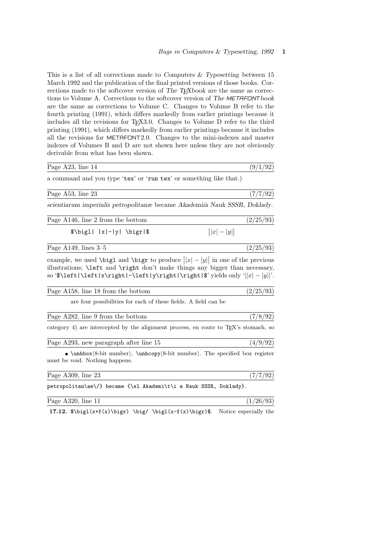$(9/1/92)$ 

This is a list of all corrections made to Computers  $\&$  Typesetting between 15 March 1992 and the publication of the final printed versions of those books. Corrections made to the softcover version of The TEXbook are the same as corrections to Volume A. Corrections to the softcover version of The METAFONTbook are the same as corrections to Volume C. Changes to Volume B refer to the fourth printing (1991), which differs markedly from earlier printings because it includes all the revisions for TFX3.0. Changes to Volume D refer to the third printing (1991), which differs markedly from earlier printings because it includes all the revisions for METAFONT2.0. Changes to the mini-indexes and master indexes of Volumes B and D are not shown here unless they are not obviously derivable from what has been shown.

| Page A23, line 14 |
|-------------------|
|-------------------|

a command and you type 'tex' or 'run tex' or something like that.)

| Page A53, line 23                                                          | (7/7/92) |
|----------------------------------------------------------------------------|----------|
| scientiarum imperialis petropolitanae became Akademiia Nauk SSSR, Doklady. |          |

| Page A146, line 2 from the bottom |               | (2/25/93) |
|-----------------------------------|---------------|-----------|
| $\big \frac{1}{x} -  y  \big $    | $  x  -  y  $ |           |

example, we used  $\bigcup_{i=1}^{\infty}$  and  $\bigcup_{i=1}^{\infty}$  to produce  $||x| - |y||$  in one of the previous illustrations; \left and \right don't make things any bigger than necessary, so '\$\left|\left|x\right|-\left|y\right|\right|\$' yields only '||x| − |y||'.

| Page A158, line 18 from the bottom                                                               | (2/25/93) |
|--------------------------------------------------------------------------------------------------|-----------|
| are four possibilities for each of these fields. A field can be                                  |           |
| Page A282, line 9 from the bottom                                                                | (7/8/92)  |
| category 4) are intercepted by the alignment process, en route to T <sub>F</sub> X's stomach, so |           |
| Page A293, new paragraph after line 15                                                           | (4/9/92)  |

 $\Box$ \unhbox $\langle 8$ -bit number), \unhcopy $\langle 8$ -bit number). The specified box register must be void. Nothing happens.

| Page $A309$ , line 23                                             |  |  | (7/7/92) |
|-------------------------------------------------------------------|--|--|----------|
| petropolitan\ae\/} became {\sl Akademi\t\i a Nauk SSSR, Doklady}. |  |  |          |

| Page A320,<br>'ine<br>$\frac{1}{2}$ |  |
|-------------------------------------|--|
|                                     |  |

17.12.  $\bigl(x+f(x)\bigg) \bigg/ \bigl(x-f(x)\bigg)$ . Notice especially the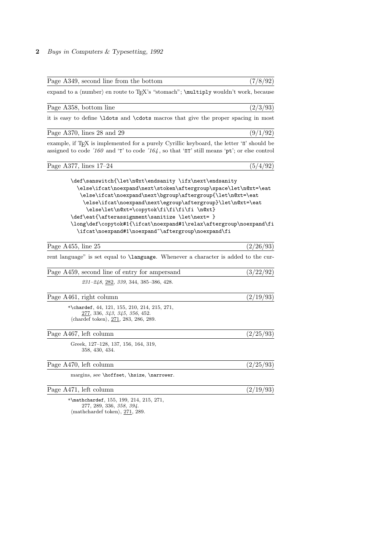| Page A349, second line from the bottom                                                                                                                                                                                                                                                                                                                                                                                                                                             | (7/8/92)  |
|------------------------------------------------------------------------------------------------------------------------------------------------------------------------------------------------------------------------------------------------------------------------------------------------------------------------------------------------------------------------------------------------------------------------------------------------------------------------------------|-----------|
| expand to a (number) en route to TEX's "stomach"; \multiply wouldn't work, because                                                                                                                                                                                                                                                                                                                                                                                                 |           |
| Page A358, bottom line                                                                                                                                                                                                                                                                                                                                                                                                                                                             | (2/3/93)  |
| it is easy to define \latest and \cdots macros that give the proper spacing in most                                                                                                                                                                                                                                                                                                                                                                                                |           |
| Page A370, lines 28 and 29                                                                                                                                                                                                                                                                                                                                                                                                                                                         | (9/1/92)  |
| example, if TEX is implemented for a purely Cyrillic keyboard, the letter 'II' should be<br>assigned to code '160 and 'T' to code '164, so that ' $\Pi$ " still means 'pt'; or else control                                                                                                                                                                                                                                                                                        |           |
| Page A377, lines 17-24                                                                                                                                                                                                                                                                                                                                                                                                                                                             | (5/4/92)  |
| \def\sanswitch{\let\n@xt\endsanity \ifx\next\endsanity<br>\else\ifcat\noexpand\next\stoken\aftergroup\space\let\n@xt=\eat<br>\else\ifcat\noexpand\next\bgroup\aftergroup{\let\n@xt=\eat<br>\else\ifcat\noexpand\next\egroup\aftergroup}\let\n@xt=\eat<br>\else\let\n@xt=\copytok\fi\fi\fi\fi \n@xt}<br>\def\eat{\afterassignment\sanitize \let\next= }<br>\long\def\copytok#1{\ifcat\noexpand#1\relax\aftergroup\noexpand\fi<br>\ifcat\noexpand#1\noexpand~\aftergroup\noexpand\fi |           |
| Page A455, line 25                                                                                                                                                                                                                                                                                                                                                                                                                                                                 | (2/26/93) |
| rent language" is set equal to \language. Whenever a character is added to the cur-                                                                                                                                                                                                                                                                                                                                                                                                |           |
| Page A459, second line of entry for ampersand                                                                                                                                                                                                                                                                                                                                                                                                                                      | (3/22/92) |
| 231-248, 282, 339, 344, 385-386, 428.                                                                                                                                                                                                                                                                                                                                                                                                                                              |           |
| Page A461, right column                                                                                                                                                                                                                                                                                                                                                                                                                                                            | (2/19/93) |
| *\chardef, $44$ , $121$ , $155$ , $210$ , $214$ , $215$ , $271$ ,<br>277, 336, 343, 345, 356, 452.<br>$\langle \text{chardef token} \rangle, 271, 283, 286, 289.$                                                                                                                                                                                                                                                                                                                  |           |
| Page A467, left column                                                                                                                                                                                                                                                                                                                                                                                                                                                             | (2/25/93) |
| Greek, 127–128, 137, 156, 164, 319,<br>358, 430, 434.                                                                                                                                                                                                                                                                                                                                                                                                                              |           |
| Page A470, left column                                                                                                                                                                                                                                                                                                                                                                                                                                                             | (2/25/93) |
| margins, see \hoffset, \hsize, \narrower.                                                                                                                                                                                                                                                                                                                                                                                                                                          |           |
| Page A471, left column                                                                                                                                                                                                                                                                                                                                                                                                                                                             | (2/19/93) |
| *\mathchardef, $155, 199, 214, 215, 271,$<br>277, 289, 336, 358, 394.                                                                                                                                                                                                                                                                                                                                                                                                              |           |

 $\langle$ mathchardef token $\rangle$ , 271, 289.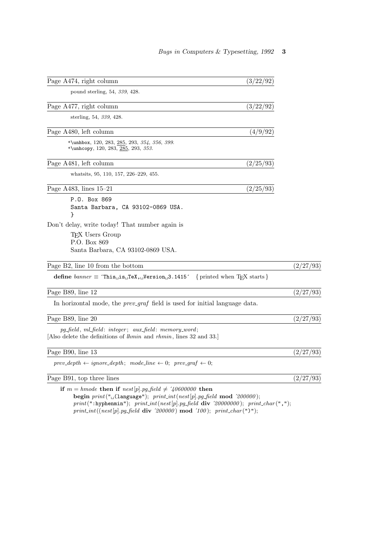| Page A474, right column                                                                                                                                                 | (3/22/92)                                |           |
|-------------------------------------------------------------------------------------------------------------------------------------------------------------------------|------------------------------------------|-----------|
| pound sterling, 54, 339, 428.                                                                                                                                           |                                          |           |
| Page A477, right column                                                                                                                                                 | (3/22/92)                                |           |
| sterling, 54, 339, 428.                                                                                                                                                 |                                          |           |
| Page A480, left column                                                                                                                                                  | (4/9/92)                                 |           |
| *\unhbox, 120, 283, 285, 293, 354, 356, 399.<br>*\unhcopy, 120, 283, 285, 293, 353.                                                                                     |                                          |           |
| Page A481, left column                                                                                                                                                  | (2/25/93)                                |           |
| whatsits, 95, 110, 157, 226-229, 455.                                                                                                                                   |                                          |           |
| Page A483, lines $15-21$                                                                                                                                                | (2/25/93)                                |           |
| P.O. Box 869<br>Santa Barbara, CA 93102-0869 USA.<br>ł                                                                                                                  |                                          |           |
| Don't delay, write today! That number again is                                                                                                                          |                                          |           |
| T <sub>F</sub> X Users Group<br>P.O. Box 869                                                                                                                            |                                          |           |
| Santa Barbara, CA 93102-0869 USA.                                                                                                                                       |                                          |           |
| Page B2, line 10 from the bottom                                                                                                                                        |                                          | (2/27/93) |
| define $banner \equiv$ This $\text{LiS}_{\text{L}}$ TeX, $\text{JVersion}_{\text{L}}$ 3.1415                                                                            | { printed when T <sub>E</sub> X starts } |           |
| Page B89, line 12                                                                                                                                                       |                                          | (2/27/93) |
| In horizontal mode, the <i>prev_graf</i> field is used for initial language data.                                                                                       |                                          |           |
| Page B89, line 20                                                                                                                                                       |                                          | (2/27/93) |
| $pg$ -field, ml_field: integer; aux_field: memory_word;<br>[Also delete the definitions of <i>lhmin</i> and <i>rhmin</i> , lines 32 and 33.]                            |                                          |           |
| Page B90, line 13                                                                                                                                                       |                                          | (2/27/93) |
| $prev\_depth \leftarrow ignore\_depth; mode\_line \leftarrow 0; prev\_graf \leftarrow 0;$                                                                               |                                          |           |
| Page B91, top three lines                                                                                                                                               |                                          | (2/27/93) |
| if $m = h$ mode then if $nest[p].pg\_field \neq 40600000$ then<br>begin $print("$ <sub><math>\cup</math></sub> (language"); $print(int(nest[p].pg-field \mod '200000);$ |                                          |           |

 $print(":hypermin")$ ;  $print(int(nest[p].pg-field \; \textbf{div} \; \; \; 20000000); \; print\_char(",");$  $print\_int((nest[p].pg\_field\ \,\mathrm{div}\ \, '200000)\ \,\mathrm{mod}\ \, '100); \ \, print\_char(")");$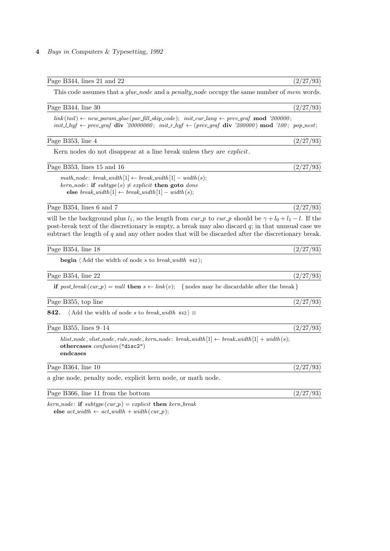| This code assumes that a <i>glue-node</i> and a <i>penalty-node</i> occupy the same number of <i>mem</i> words.                                                                                                                                                                                                                    |           |
|------------------------------------------------------------------------------------------------------------------------------------------------------------------------------------------------------------------------------------------------------------------------------------------------------------------------------------|-----------|
| Page B344, line 30                                                                                                                                                                                                                                                                                                                 | (2/27/93) |
| $link(tail) \leftarrow new\_param\_glue(par\_fill\_skip\_code); \; init\_cur\_lang \leftarrow prev\_graf \mod 200000;$<br>$init\_l_n$ $\leftarrow$ prev_graf div '20000000; $init_r_l_y$ $\leftarrow$ (prev_graf div '200000) mod '100; pop_nest;                                                                                  |           |
| Page B353, line 4                                                                                                                                                                                                                                                                                                                  | (2/27/93) |
| Kern nodes do not disappear at a line break unless they are <i>explicit</i> .                                                                                                                                                                                                                                                      |           |
| Page B353, lines 15 and 16                                                                                                                                                                                                                                                                                                         | (2/27/93) |
| $math\_match\_node: break\_width[1] \leftarrow break\_width[1] - width(s);$<br>kern_node: if $subtype(s) \neq explicit$ then goto done<br>else break_width $[1] \leftarrow break\_width[1] - width(s);$                                                                                                                            |           |
| Page B354, lines 6 and 7                                                                                                                                                                                                                                                                                                           | (2/27/93) |
| will be the background plus $l_1$ , so the length from cur-p to cur-p should be $\gamma + l_0 + l_1 - l$ . If the<br>post-break text of the discretionary is empty, a break may also discard $q$ ; in that unusual case we<br>subtract the length of $q$ and any other nodes that will be discarded after the discretionary break. |           |
| Page B354, line 18                                                                                                                                                                                                                                                                                                                 | (2/27/93) |
| <b>begin</b> $\langle$ Add the width of node s to break_width $842$ ;                                                                                                                                                                                                                                                              |           |
| Page B354, line 22                                                                                                                                                                                                                                                                                                                 | (2/27/93) |
| if $post\text{-}break(cur\text{-}p) = null$ then $s \leftarrow link(v)$ ; {nodes may be discardable after the break}                                                                                                                                                                                                               |           |
| Page B355, top line                                                                                                                                                                                                                                                                                                                | (2/27/93) |
| 842.<br>$\langle$ Add the width of node s to break_width 842 $\rangle \equiv$                                                                                                                                                                                                                                                      |           |
| Page B355, lines $9-14$                                                                                                                                                                                                                                                                                                            | (2/27/93) |
| hlist_node, vlist_node, rule_node, kern_node: break_width $[1] \leftarrow break\_width[1] + width(s);$<br>othercases $\text{confusion}$ ("disc2")<br>endcases                                                                                                                                                                      |           |
| Page B364, line 10                                                                                                                                                                                                                                                                                                                 | (2/27/93) |
| a glue node, penalty node, explicit kern node, or math node.                                                                                                                                                                                                                                                                       |           |
| Page B366, line 11 from the bottom                                                                                                                                                                                                                                                                                                 | (2/27/93) |
|                                                                                                                                                                                                                                                                                                                                    |           |

Page B344, lines 21 and 22 (2/27/93)

 $kern\_node$ : if  $subtype (cur.p) = explicit$  then  $kern\_break$ else  $act\_width \leftarrow act\_width + width(cur_p);$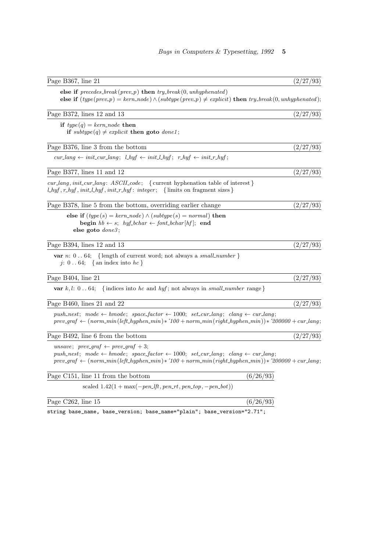| Page B367, line 21                                                                                                                                                                                                                                                              | (2/27/93) |
|---------------------------------------------------------------------------------------------------------------------------------------------------------------------------------------------------------------------------------------------------------------------------------|-----------|
| else if $precedes_break(prev_p)$ then $try_break(0,unhyphenated)$<br>else if $(type(prev_p) = kern-node) \wedge (subtype(prev_p) \neq explicit)$ then $try\_break(0, unhyperated);$                                                                                             |           |
| Page B372, lines 12 and 13                                                                                                                                                                                                                                                      | (2/27/93) |
| if $type(q) = kern\_node$ then<br>if $subtype(q) \neq explicit$ then goto $done1$ ;                                                                                                                                                                                             |           |
| Page B376, line 3 from the bottom                                                                                                                                                                                                                                               | (2/27/93) |
| $cur\_{lang} \leftarrow init.cur\_{lang}$ ; $l\_{hyf} \leftarrow init\_{hyf}$ ; $r\_{hyf} \leftarrow init\_{r\_{hyf}$ ;                                                                                                                                                         |           |
| Page B377, lines 11 and 12                                                                                                                                                                                                                                                      | (2/27/93) |
| $cur\_lang, init\_cur\_lang: ASCII\_code;$ { current hyphenation table of interest }<br>$l_h y f, r_h y f, init_l h y f, init_r h y f: integer; \{ limits on fragment sizes\}$                                                                                                  |           |
| Page B378, line 5 from the bottom, overriding earlier change                                                                                                                                                                                                                    | (2/27/93) |
| else if $(type(s) = kern-node) \wedge (subtype(s) = normal)$ then<br><b>begin</b> $hb \leftarrow s$ ; $hyf\_bchar \leftarrow font\_bchar[hf]$ ; end<br>else goto $done3$ ;                                                                                                      |           |
| Page B394, lines 12 and 13                                                                                                                                                                                                                                                      | (2/27/93) |
| <b>var</b> $n: 064$ ; {length of current word; not always a small_number}<br>j: 064; {an index into $hc$ }                                                                                                                                                                      |           |
| Page B404, line 21                                                                                                                                                                                                                                                              | (2/27/93) |
| var $k, l: 064; \{$ indices into hc and hyf; not always in small_number range }                                                                                                                                                                                                 |           |
| Page B460, lines 21 and 22                                                                                                                                                                                                                                                      | (2/27/93) |
| push_nest; mode $\leftarrow$ hmode; space_factor $\leftarrow$ 1000; set_cur_lang; clang $\leftarrow$ cur_lang;<br>$prev\_graf \leftarrow (norm\_min(left\_hyper\_min) * 100 + norm\_min(right\_hyper\_min)) * 200000 + cur\_lang;$                                              |           |
| Page B492, line 6 from the bottom                                                                                                                                                                                                                                               | (2/27/93) |
| unsave; prev_graf $\leftarrow$ prev_graf + 3;<br>push_nest; mode $\leftarrow$ hmode; space_factor $\leftarrow$ 1000; set_cur_lang; clang $\leftarrow$ cur_lang;<br>$prev\_graf \leftarrow (norm\_min(left\_hypermin) * 100 + norm\_min(right\_hypermin)) * 200000 + cur\_lang;$ |           |
| Page C151, line 11 from the bottom                                                                                                                                                                                                                                              | (6/26/93) |
| scaled $1.42(1 + max(-pen_lft, pen_rrt, pen_ttop, -pen_lbot))$                                                                                                                                                                                                                  |           |
| Page C262, line 15                                                                                                                                                                                                                                                              | (6/26/93) |

string base\_name, base\_version; base\_name="plain"; base\_version="2.71";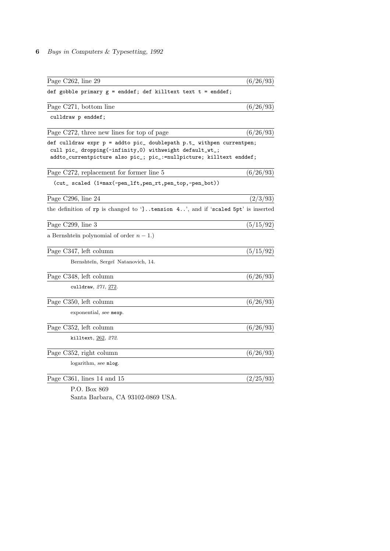| Page C262, line 29                                                                                                             | (6/26/93) |
|--------------------------------------------------------------------------------------------------------------------------------|-----------|
| def gobble primary $g =$ enddef; def killtext text $t =$ enddef;                                                               |           |
| Page C271, bottom line                                                                                                         | (6/26/93) |
| culldraw p enddef;                                                                                                             |           |
| Page C272, three new lines for top of page                                                                                     | (6/26/93) |
| def culldraw expr p = addto pic_ doublepath p.t_ withpen currentpen;                                                           |           |
| cull pic_ dropping(-infinity,0) withweight default_wt_;<br>addto_currentpicture also pic_; pic_:=nullpicture; killtext enddef; |           |
| Page C272, replacement for former line 5                                                                                       | (6/26/93) |
| (cut_ scaled (1+max(-pen_lft,pen_rt,pen_top,-pen_bot))                                                                         |           |
| Page C296, line 24                                                                                                             | (2/3/93)  |
| the definition of rp is changed to ']. tension 4', and if 'scaled 5pt' is inserted                                             |           |
| Page C299, line 3                                                                                                              | (5/15/92) |
| a Bernshtein polynomial of order $n-1$ .)                                                                                      |           |
| Page C347, left column                                                                                                         | (5/15/92) |
| Bernshtein, Sergeï Natanovich, 14.                                                                                             |           |
| Page C348, left column                                                                                                         | (6/26/93) |
| culldraw, 271, 272.                                                                                                            |           |
| Page C350, left column                                                                                                         | (6/26/93) |
| exponential, see mexp.                                                                                                         |           |
| Page C352, left column                                                                                                         | (6/26/93) |
| killtext, 262, 272.                                                                                                            |           |
| Page C352, right column                                                                                                        | (6/26/93) |
| logarithm, see mlog.                                                                                                           |           |
| Page C361, lines 14 and 15                                                                                                     | (2/25/93) |
|                                                                                                                                |           |

P.O. Box 869 Santa Barbara, CA 93102-0869 USA.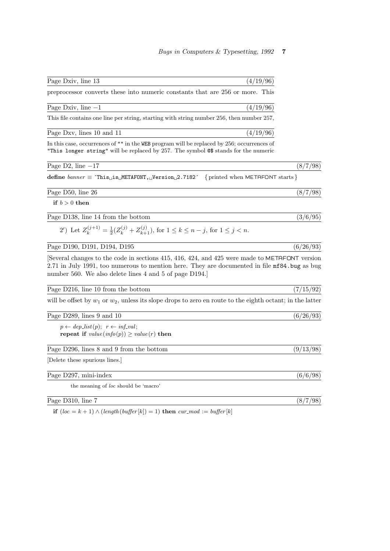| Page Dxiv, line<br>$\sim$ 1.0<br>- 19 |  |
|---------------------------------------|--|
|                                       |  |

preprocessor converts these into numeric constants that are 256 or more. This

| Page<br>$1\,\mathrm{Jy}$<br>nne<br>---<br>$- - - -$<br>-<br>$- - -$ | - |
|---------------------------------------------------------------------|---|
|                                                                     |   |

This file contains one line per string, starting with string number 256, then number 257,

Page Dxv, lines 10 and 11  $\left(\frac{4}{19/96}\right)$ 

In this case, occurrences of "" in the WEB program will be replaced by 256; occurrences of "This longer string" will be replaced by 257. The symbol @\$ stands for the numeric

Page D2, line  $-17$  (8/7/98)

define  $banner \equiv 'This_Jis_JMETAFONT, JVersion_J2.7182'$  {printed when METAFONT starts }

if  $b > 0$  then

Page D138, line 14 from the bottom  $(3/6/95)$ 

2') Let  $Z_k^{(j+1)} = \frac{1}{2}(Z_k^{(j)} + Z_{k+1}^{(j)}),$  for  $1 \le k \le n - j$ , for  $1 \le j < n$ .

Page D190, D191, D194, D195  $(6/26/93)$ 

[Several changes to the code in sections 415, 416, 424, and 425 were made to METAFONT version 2.71 in July 1991, too numerous to mention here. They are documented in file mf84.bug as bug number 560. We also delete lines 4 and 5 of page D194.]

Page D216, line 10 from the bottom  $(7/15/92)$ 

will be offset by  $w_1$  or  $w_2$ , unless its slope drops to zero en route to the eighth octant; in the latter

Page D289, lines 9 and 10  $(6/26/93)$ 

 $p \leftarrow dep\_list(p); \ \ r \leftarrow inf\_val;$ repeat if  $value(info(p)) > value(r)$  then

Page D296, lines 8 and 9 from the bottom (9/13/98)

[Delete these spurious lines.]

Page D297, mini-index (6/6/98)

the meaning of loc should be 'macro'

Page D310, line 7 (8/7/98)

if  $(loc = k + 1) \wedge (length(buffer[k]) = 1)$  then  $cur\_mod := buffer[k]$ 

Page D50, line 26 (8/7/98)